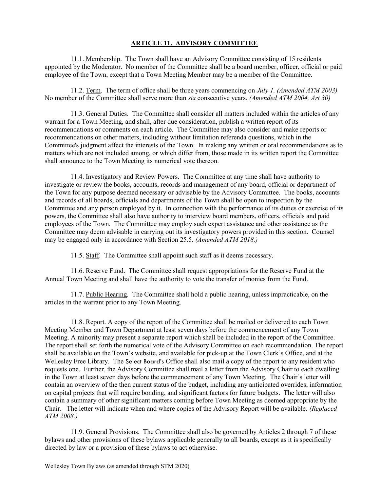## ARTICLE 11. ADVISORY COMMITTEE

 11.1. Membership. The Town shall have an Advisory Committee consisting of 15 residents appointed by the Moderator. No member of the Committee shall be a board member, officer, official or paid employee of the Town, except that a Town Meeting Member may be a member of the Committee.

11.2. Term. The term of office shall be three years commencing on July 1. (Amended ATM 2003) No member of the Committee shall serve more than six consecutive years. (Amended ATM 2004, Art 30)

 11.3. General Duties. The Committee shall consider all matters included within the articles of any warrant for a Town Meeting, and shall, after due consideration, publish a written report of its recommendations or comments on each article. The Committee may also consider and make reports or recommendations on other matters, including without limitation referenda questions, which in the Committee's judgment affect the interests of the Town. In making any written or oral recommendations as to matters which are not included among, or which differ from, those made in its written report the Committee shall announce to the Town Meeting its numerical vote thereon.

 11.4. Investigatory and Review Powers. The Committee at any time shall have authority to investigate or review the books, accounts, records and management of any board, official or department of the Town for any purpose deemed necessary or advisable by the Advisory Committee. The books, accounts and records of all boards, officials and departments of the Town shall be open to inspection by the Committee and any person employed by it. In connection with the performance of its duties or exercise of its powers, the Committee shall also have authority to interview board members, officers, officials and paid employees of the Town. The Committee may employ such expert assistance and other assistance as the Committee may deem advisable in carrying out its investigatory powers provided in this section. Counsel may be engaged only in accordance with Section 25.5. (Amended ATM 2018.)

11.5. Staff. The Committee shall appoint such staff as it deems necessary.

 11.6. Reserve Fund. The Committee shall request appropriations for the Reserve Fund at the Annual Town Meeting and shall have the authority to vote the transfer of monies from the Fund.

 11.7. Public Hearing. The Committee shall hold a public hearing, unless impracticable, on the articles in the warrant prior to any Town Meeting.

 11.8. Report. A copy of the report of the Committee shall be mailed or delivered to each Town Meeting Member and Town Department at least seven days before the commencement of any Town Meeting. A minority may present a separate report which shall be included in the report of the Committee. The report shall set forth the numerical vote of the Advisory Committee on each recommendation. The report shall be available on the Town's website, and available for pick-up at the Town Clerk's Office, and at the Wellesley Free Library. The Select Board's Office shall also mail a copy of the report to any resident who requests one. Further, the Advisory Committee shall mail a letter from the Advisory Chair to each dwelling in the Town at least seven days before the commencement of any Town Meeting. The Chair's letter will contain an overview of the then current status of the budget, including any anticipated overrides, information on capital projects that will require bonding, and significant factors for future budgets. The letter will also contain a summary of other significant matters coming before Town Meeting as deemed appropriate by the Chair. The letter will indicate when and where copies of the Advisory Report will be available. (Replaced ATM 2008.)

 11.9. General Provisions. The Committee shall also be governed by Articles 2 through 7 of these bylaws and other provisions of these bylaws applicable generally to all boards, except as it is specifically directed by law or a provision of these bylaws to act otherwise.